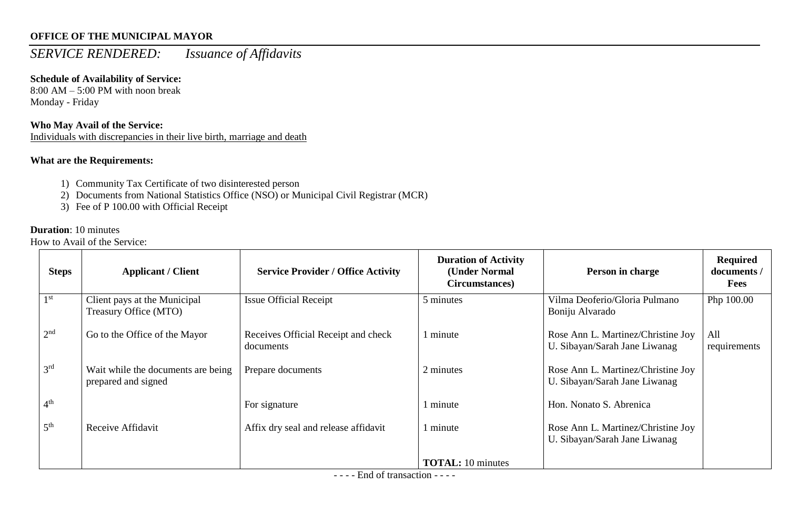## *SERVICE RENDERED: Issuance of Affidavits*

## **Schedule of Availability of Service:**

8:00 AM – 5:00 PM with noon break Monday - Friday

## **Who May Avail of the Service:**

Individuals with discrepancies in their live birth, marriage and death

### **What are the Requirements:**

- 1) Community Tax Certificate of two disinterested person
- 2) Documents from National Statistics Office (NSO) or Municipal Civil Registrar (MCR)
- 3) Fee of P 100.00 with Official Receipt

#### **Duration**: 10 minutes

How to Avail of the Service:

| <b>Steps</b>    | <b>Applicant / Client</b>                                 | <b>Service Provider / Office Activity</b>        | <b>Duration of Activity</b><br>(Under Normal<br>Circumstances) | Person in charge                                                    | <b>Required</b><br>documents /<br><b>Fees</b> |
|-----------------|-----------------------------------------------------------|--------------------------------------------------|----------------------------------------------------------------|---------------------------------------------------------------------|-----------------------------------------------|
| 1 <sup>st</sup> | Client pays at the Municipal<br>Treasury Office (MTO)     | <b>Issue Official Receipt</b>                    | 5 minutes                                                      | Vilma Deoferio/Gloria Pulmano<br>Boniju Alvarado                    | Php 100.00                                    |
| 2 <sup>nd</sup> | Go to the Office of the Mayor                             | Receives Official Receipt and check<br>documents | minute                                                         | Rose Ann L. Martinez/Christine Joy<br>U. Sibayan/Sarah Jane Liwanag | All<br>requirements                           |
| 3 <sup>rd</sup> | Wait while the documents are being<br>prepared and signed | Prepare documents                                | 2 minutes                                                      | Rose Ann L. Martinez/Christine Joy<br>U. Sibayan/Sarah Jane Liwanag |                                               |
| 4 <sup>th</sup> |                                                           | For signature                                    | minute                                                         | Hon. Nonato S. Abrenica                                             |                                               |
| 5 <sup>th</sup> | Receive Affidavit                                         | Affix dry seal and release affidavit             | minute                                                         | Rose Ann L. Martinez/Christine Joy<br>U. Sibayan/Sarah Jane Liwanag |                                               |
|                 |                                                           | $\mathbf{r}$ $\mathbf{r}$ $\mathbf{r}$           | <b>TOTAL:</b> 10 minutes                                       |                                                                     |                                               |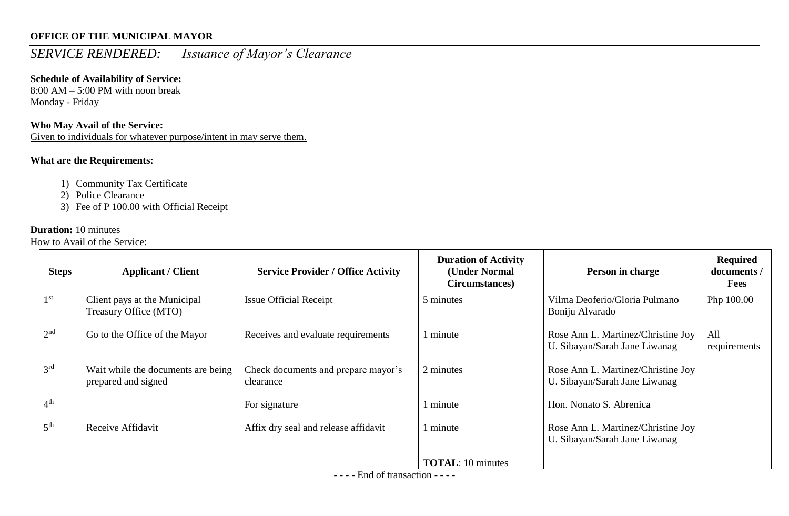## *SERVICE RENDERED: Issuance of Mayor's Clearance*

## **Schedule of Availability of Service:**

8:00 AM – 5:00 PM with noon break Monday - Friday

## **Who May Avail of the Service:**

Given to individuals for whatever purpose/intent in may serve them.

## **What are the Requirements:**

- 1) Community Tax Certificate
- 2) Police Clearance
- 3) Fee of P 100.00 with Official Receipt

## **Duration:** 10 minutes

How to Avail of the Service:

| <b>Steps</b>    | <b>Applicant / Client</b>                                 | <b>Service Provider / Office Activity</b>        | <b>Duration of Activity</b><br>(Under Normal<br>Circumstances) | Person in charge                                                    | <b>Required</b><br>documents /<br><b>Fees</b> |
|-----------------|-----------------------------------------------------------|--------------------------------------------------|----------------------------------------------------------------|---------------------------------------------------------------------|-----------------------------------------------|
| 1 <sup>st</sup> | Client pays at the Municipal<br>Treasury Office (MTO)     | <b>Issue Official Receipt</b>                    | 5 minutes                                                      | Vilma Deoferio/Gloria Pulmano<br>Boniju Alvarado                    | Php 100.00                                    |
| 2 <sup>nd</sup> | Go to the Office of the Mayor                             | Receives and evaluate requirements               | minute                                                         | Rose Ann L. Martinez/Christine Joy<br>U. Sibayan/Sarah Jane Liwanag | All<br>requirements                           |
| 3 <sup>rd</sup> | Wait while the documents are being<br>prepared and signed | Check documents and prepare mayor's<br>clearance | 2 minutes                                                      | Rose Ann L. Martinez/Christine Joy<br>U. Sibayan/Sarah Jane Liwanag |                                               |
| 4 <sup>th</sup> |                                                           | For signature                                    | minute                                                         | Hon. Nonato S. Abrenica                                             |                                               |
| 5 <sup>th</sup> | Receive Affidavit                                         | Affix dry seal and release affidavit             | minute                                                         | Rose Ann L. Martinez/Christine Joy<br>U. Sibayan/Sarah Jane Liwanag |                                               |
|                 |                                                           | $\mathbf{r}$ $\mathbf{r}$ $\mathbf{r}$           | <b>TOTAL:</b> 10 minutes                                       |                                                                     |                                               |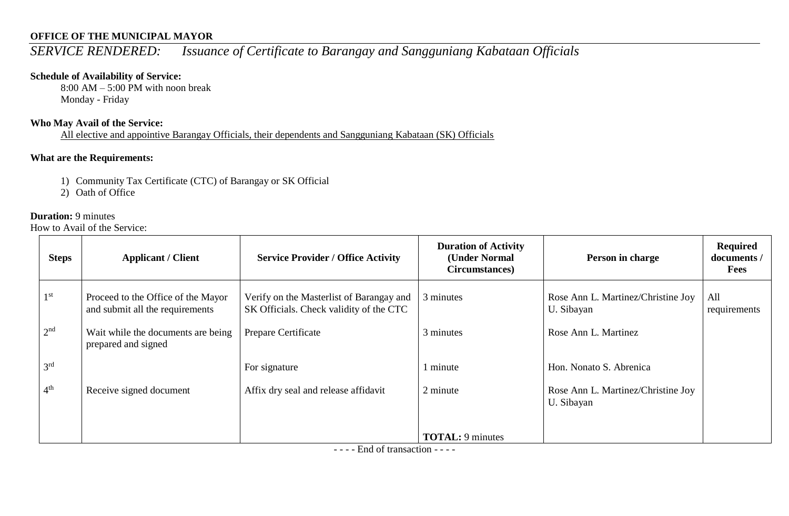## *SERVICE RENDERED: Issuance of Certificate to Barangay and Sangguniang Kabataan Officials*

## **Schedule of Availability of Service:**

8:00 AM – 5:00 PM with noon break Monday - Friday

## **Who May Avail of the Service:**

All elective and appointive Barangay Officials, their dependents and Sangguniang Kabataan (SK) Officials

## **What are the Requirements:**

- 1) Community Tax Certificate (CTC) of Barangay or SK Official
- 2) Oath of Office

## **Duration:** 9 minutes

How to Avail of the Service:

| <b>Steps</b>    | <b>Applicant / Client</b>                                             | <b>Service Provider / Office Activity</b>                                           | <b>Duration of Activity</b><br>(Under Normal<br>Circumstances) | Person in charge                                 | Required<br>documents /<br><b>Fees</b> |
|-----------------|-----------------------------------------------------------------------|-------------------------------------------------------------------------------------|----------------------------------------------------------------|--------------------------------------------------|----------------------------------------|
| 1 <sup>st</sup> | Proceed to the Office of the Mayor<br>and submit all the requirements | Verify on the Masterlist of Barangay and<br>SK Officials. Check validity of the CTC | 3 minutes                                                      | Rose Ann L. Martinez/Christine Joy<br>U. Sibayan | All<br>requirements                    |
| 2 <sup>nd</sup> | Wait while the documents are being<br>prepared and signed             | Prepare Certificate                                                                 | 3 minutes                                                      | Rose Ann L. Martinez                             |                                        |
| 3 <sup>rd</sup> |                                                                       | For signature                                                                       | minute                                                         | Hon. Nonato S. Abrenica                          |                                        |
| 4 <sup>th</sup> | Receive signed document                                               | Affix dry seal and release affidavit                                                | 2 minute                                                       | Rose Ann L. Martinez/Christine Joy<br>U. Sibayan |                                        |
|                 |                                                                       |                                                                                     | <b>TOTAL:</b> 9 minutes                                        |                                                  |                                        |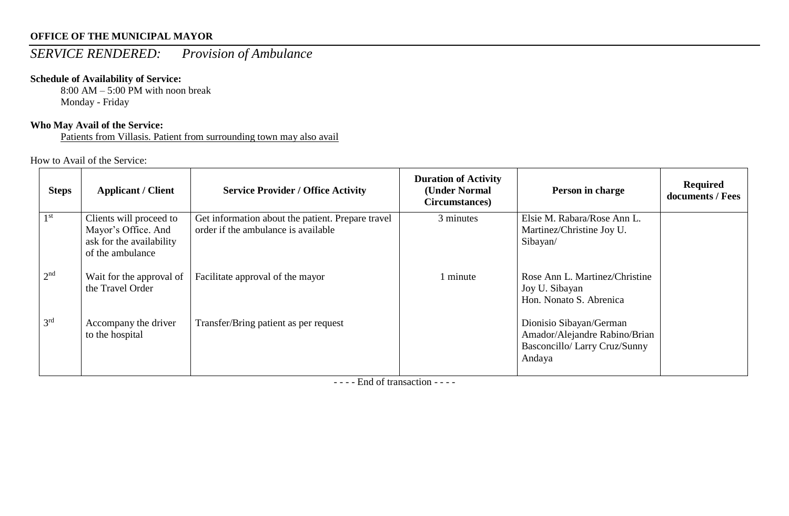# *SERVICE RENDERED: Provision of Ambulance*

## **Schedule of Availability of Service:**

 $8:00$  AM – 5:00 PM with noon break Monday - Friday

## **Who May Avail of the Service:**

Patients from Villasis. Patient from surrounding town may also avail

How to Avail of the Service:

| <b>Steps</b>    | <b>Applicant / Client</b>                                                                      | <b>Service Provider / Office Activity</b>                                                | <b>Duration of Activity</b><br>(Under Normal<br>Circumstances) | Person in charge                                                                                    | <b>Required</b><br>documents / Fees |
|-----------------|------------------------------------------------------------------------------------------------|------------------------------------------------------------------------------------------|----------------------------------------------------------------|-----------------------------------------------------------------------------------------------------|-------------------------------------|
| 1 <sup>st</sup> | Clients will proceed to<br>Mayor's Office. And<br>ask for the availability<br>of the ambulance | Get information about the patient. Prepare travel<br>order if the ambulance is available | 3 minutes                                                      | Elsie M. Rabara/Rose Ann L.<br>Martinez/Christine Joy U.<br>Sibayan/                                |                                     |
| 2 <sup>nd</sup> | Wait for the approval of<br>the Travel Order                                                   | Facilitate approval of the mayor                                                         | 1 minute                                                       | Rose Ann L. Martinez/Christine<br>Joy U. Sibayan<br>Hon. Nonato S. Abrenica                         |                                     |
| 3 <sup>rd</sup> | Accompany the driver<br>to the hospital                                                        | Transfer/Bring patient as per request                                                    |                                                                | Dionisio Sibayan/German<br>Amador/Alejandre Rabino/Brian<br>Basconcillo/ Larry Cruz/Sunny<br>Andaya |                                     |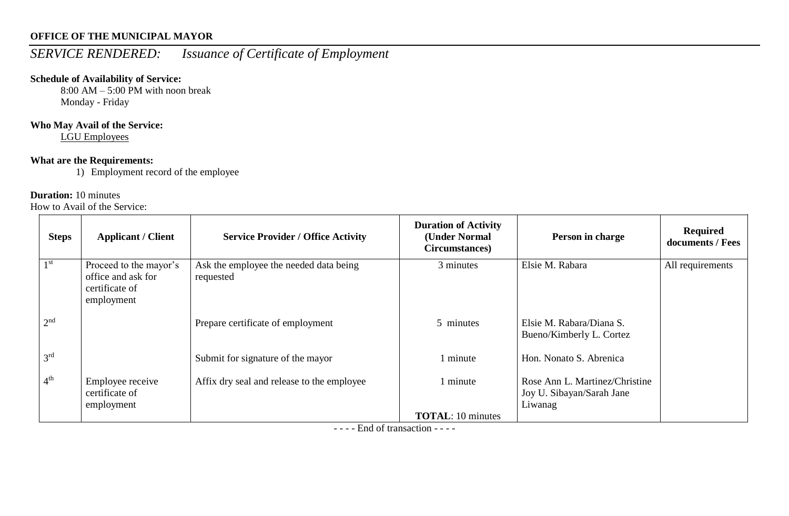# *SERVICE RENDERED: Issuance of Certificate of Employment*

## **Schedule of Availability of Service:**

 $8:00$  AM – 5:00 PM with noon break Monday - Friday

## **Who May Avail of the Service:**

LGU Employees

## **What are the Requirements:**

1) Employment record of the employee

## **Duration:** 10 minutes

How to Avail of the Service:

| <b>Steps</b>    | <b>Applicant / Client</b>                                                    | <b>Service Provider / Office Activity</b>           | <b>Duration of Activity</b><br>(Under Normal<br>Circumstances) | Person in charge                                                       | <b>Required</b><br>documents / Fees |
|-----------------|------------------------------------------------------------------------------|-----------------------------------------------------|----------------------------------------------------------------|------------------------------------------------------------------------|-------------------------------------|
| 1 <sup>st</sup> | Proceed to the mayor's<br>office and ask for<br>certificate of<br>employment | Ask the employee the needed data being<br>requested | 3 minutes                                                      | Elsie M. Rabara                                                        | All requirements                    |
| 2 <sup>nd</sup> |                                                                              | Prepare certificate of employment                   | 5 minutes                                                      | Elsie M. Rabara/Diana S.<br>Bueno/Kimberly L. Cortez                   |                                     |
| 3 <sup>rd</sup> |                                                                              | Submit for signature of the mayor                   | 1 minute                                                       | Hon. Nonato S. Abrenica                                                |                                     |
| 4 <sup>th</sup> | Employee receive<br>certificate of<br>employment                             | Affix dry seal and release to the employee          | 1 minute                                                       | Rose Ann L. Martinez/Christine<br>Joy U. Sibayan/Sarah Jane<br>Liwanag |                                     |
|                 |                                                                              |                                                     | <b>TOTAL:</b> 10 minutes                                       |                                                                        |                                     |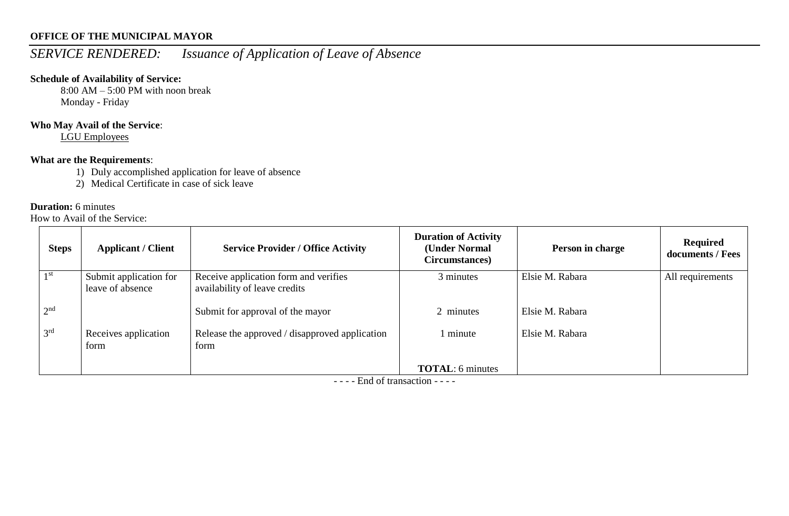# *SERVICE RENDERED: Issuance of Application of Leave of Absence*

## **Schedule of Availability of Service:**

 $8:00$  AM – 5:00 PM with noon break Monday - Friday

#### **Who May Avail of the Service**:

LGU Employees

### **What are the Requirements**:

- 1) Duly accomplished application for leave of absence
- 2) Medical Certificate in case of sick leave

#### **Duration:** 6 minutes

How to Avail of the Service:

| <b>Steps</b>    | <b>Applicant / Client</b>                  | <b>Service Provider / Office Activity</b>                              | <b>Duration of Activity</b><br>(Under Normal<br>Circumstances) | Person in charge | Required<br>documents / Fees |
|-----------------|--------------------------------------------|------------------------------------------------------------------------|----------------------------------------------------------------|------------------|------------------------------|
| 1 <sup>st</sup> | Submit application for<br>leave of absence | Receive application form and verifies<br>availability of leave credits | 3 minutes                                                      | Elsie M. Rabara  | All requirements             |
| 2 <sup>nd</sup> |                                            | Submit for approval of the mayor                                       | 2 minutes                                                      | Elsie M. Rabara  |                              |
| 3 <sup>rd</sup> | Receives application<br>form               | Release the approved / disapproved application<br>form                 | 1 minute                                                       | Elsie M. Rabara  |                              |
|                 |                                            |                                                                        | <b>TOTAL:</b> 6 minutes                                        |                  |                              |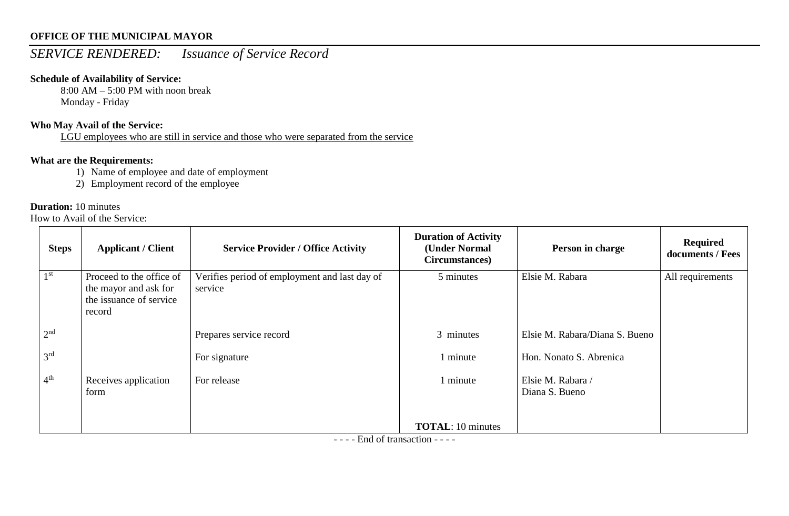## *SERVICE RENDERED: Issuance of Service Record*

## **Schedule of Availability of Service:**

 $8:00$  AM – 5:00 PM with noon break Monday - Friday

## **Who May Avail of the Service:**

LGU employees who are still in service and those who were separated from the service

## **What are the Requirements:**

- 1) Name of employee and date of employment
- 2) Employment record of the employee

## **Duration:** 10 minutes

How to Avail of the Service:

| <b>Steps</b>    | <b>Applicant / Client</b>                                                              | <b>Service Provider / Office Activity</b>                | <b>Duration of Activity</b><br>(Under Normal<br>Circumstances) | Person in charge                    | <b>Required</b><br>documents / Fees |
|-----------------|----------------------------------------------------------------------------------------|----------------------------------------------------------|----------------------------------------------------------------|-------------------------------------|-------------------------------------|
| 1 <sup>st</sup> | Proceed to the office of<br>the mayor and ask for<br>the issuance of service<br>record | Verifies period of employment and last day of<br>service | 5 minutes                                                      | Elsie M. Rabara                     | All requirements                    |
| 2 <sup>nd</sup> |                                                                                        | Prepares service record                                  | 3 minutes                                                      | Elsie M. Rabara/Diana S. Bueno      |                                     |
| 3 <sup>rd</sup> |                                                                                        | For signature                                            | 1 minute                                                       | Hon. Nonato S. Abrenica             |                                     |
| 4 <sup>th</sup> | Receives application<br>form                                                           | For release                                              | 1 minute                                                       | Elsie M. Rabara /<br>Diana S. Bueno |                                     |
|                 |                                                                                        |                                                          | <b>TOTAL:</b> 10 minutes                                       |                                     |                                     |